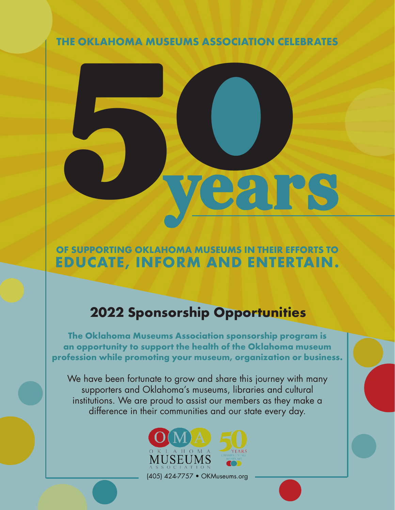THE OKLAHOMA MUSEUMS ASSOCIATION CELEBRATES



# OF SUPPORTING OKLAHOMA MUSEUMS IN THEIR EFFORTS TO EDUCATE, INFORM AND ENTERTAIN.

# 2022 Sponsorship Opportunities

The Oklahoma Museums Association sponsorship program is an opportunity to support the health of the Oklahoma museum profession while promoting your museum, organization or business.

We have been fortunate to grow and share this journey with many supporters and Oklahoma's museums, libraries and cultural institutions. We are proud to assist our members as they make a difference in their communities and our state every day.

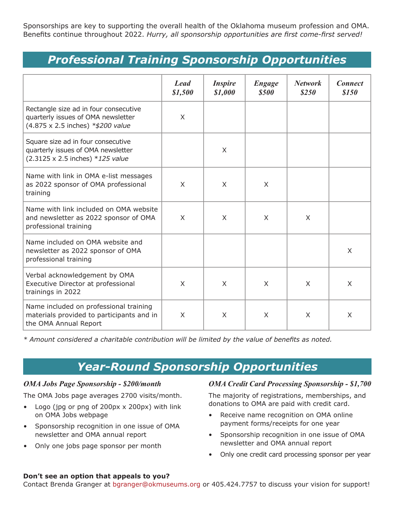Sponsorships are key to supporting the overall health of the Oklahoma museum profession and OMA. Benefits continue throughout 2022. *Hurry, all sponsorship opportunities are first come-first served!*

# *Professional Training Sponsorship Opportunities*

|                                                                                                                  | <b>Lead</b><br>\$1,500 | <i><b>Inspire</b></i><br>\$1,000 | <b>Engage</b><br><b>\$500</b> | <b>Network</b><br>\$250 | <b>Connect</b><br><i><b>\$150</b></i> |
|------------------------------------------------------------------------------------------------------------------|------------------------|----------------------------------|-------------------------------|-------------------------|---------------------------------------|
| Rectangle size ad in four consecutive<br>quarterly issues of OMA newsletter<br>(4.875 x 2.5 inches) *\$200 value | X                      |                                  |                               |                         |                                       |
| Square size ad in four consecutive<br>quarterly issues of OMA newsletter<br>(2.3125 x 2.5 inches) *125 value     |                        | $\sf X$                          |                               |                         |                                       |
| Name with link in OMA e-list messages<br>as 2022 sponsor of OMA professional<br>training                         | $\times$               | $\sf X$                          | $\times$                      |                         |                                       |
| Name with link included on OMA website<br>and newsletter as 2022 sponsor of OMA<br>professional training         | X                      | X                                | X                             | X                       |                                       |
| Name included on OMA website and<br>newsletter as 2022 sponsor of OMA<br>professional training                   |                        |                                  |                               |                         | $\times$                              |
| Verbal acknowledgement by OMA<br>Executive Director at professional<br>trainings in 2022                         | X                      | X                                | X                             | X                       | X                                     |
| Name included on professional training<br>materials provided to participants and in<br>the OMA Annual Report     | X                      | X                                | X                             | X                       | X                                     |

*\* Amount considered a charitable contribution will be limited by the value of benefits as noted.*

# *Year-Round Sponsorship Opportunities*

#### *OMA Jobs Page Sponsorship - \$200/month*

The OMA Jobs page averages 2700 visits/month.

- Logo (jpg or png of 200px x 200px) with link on OMA Jobs webpage
- Sponsorship recognition in one issue of OMA newsletter and OMA annual report
- Only one jobs page sponsor per month

### *OMA Credit Card Processing Sponsorship - \$1,700*

The majority of registrations, memberships, and donations to OMA are paid with credit card.

- Receive name recognition on OMA online payment forms/receipts for one year
- Sponsorship recognition in one issue of OMA newsletter and OMA annual report
- Only one credit card processing sponsor per year

#### **Don't see an option that appeals to you?**

Contact Brenda Granger at [bgranger@okmuseums.org](mailto:bgranger%40okmuseums.org?subject=) or 405.424.7757 to discuss your vision for support!